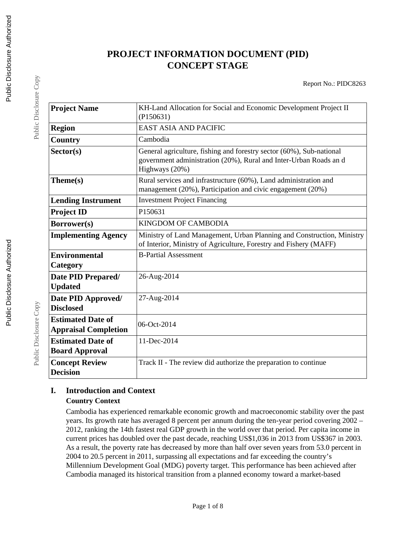# **PROJECT INFORMATION DOCUMENT (PID) CONCEPT STAGE**

Report No.: PIDC8263

| <b>Project Name</b>                                     | KH-Land Allocation for Social and Economic Development Project II<br>(P150631)                                                                             |  |  |
|---------------------------------------------------------|------------------------------------------------------------------------------------------------------------------------------------------------------------|--|--|
| <b>Region</b>                                           | <b>EAST ASIA AND PACIFIC</b>                                                                                                                               |  |  |
| Country                                                 | Cambodia                                                                                                                                                   |  |  |
| Sector(s)                                               | General agriculture, fishing and forestry sector (60%), Sub-national<br>government administration (20%), Rural and Inter-Urban Roads and<br>Highways (20%) |  |  |
| Theme(s)                                                | Rural services and infrastructure (60%), Land administration and<br>management (20%), Participation and civic engagement (20%)                             |  |  |
| <b>Lending Instrument</b>                               | <b>Investment Project Financing</b>                                                                                                                        |  |  |
| <b>Project ID</b>                                       | P150631                                                                                                                                                    |  |  |
| <b>Borrower(s)</b>                                      | <b>KINGDOM OF CAMBODIA</b>                                                                                                                                 |  |  |
| <b>Implementing Agency</b>                              | Ministry of Land Management, Urban Planning and Construction, Ministry<br>of Interior, Ministry of Agriculture, Forestry and Fishery (MAFF)                |  |  |
| <b>Environmental</b><br>Category                        | <b>B-Partial Assessment</b>                                                                                                                                |  |  |
| Date PID Prepared/<br><b>Updated</b>                    | 26-Aug-2014                                                                                                                                                |  |  |
| Date PID Approved/<br><b>Disclosed</b>                  | 27-Aug-2014                                                                                                                                                |  |  |
| <b>Estimated Date of</b><br><b>Appraisal Completion</b> | 06-Oct-2014                                                                                                                                                |  |  |
| <b>Estimated Date of</b><br><b>Board Approval</b>       | 11-Dec-2014                                                                                                                                                |  |  |
| <b>Concept Review</b><br><b>Decision</b>                | Track II - The review did authorize the preparation to continue                                                                                            |  |  |

### **I. Introduction and Context Country Context**

Cambodia has experienced remarkable economic growth and macroeconomic stability over the past years. Its growth rate has averaged 8 percent per annum during the ten-year period covering 2002 – 2012, ranking the 14th fastest real GDP growth in the world over that period. Per capita income in current prices has doubled over the past decade, reaching US\$1,036 in 2013 from US\$367 in 2003. As a result, the poverty rate has decreased by more than half over seven years from 53.0 percent in 2004 to 20.5 percent in 2011, surpassing all expectations and far exceeding the country's Millennium Development Goal (MDG) poverty target. This performance has been achieved after Cambodia managed its historical transition from a planned economy toward a market-based

Public Disclosure Copy

Public Disclosure Copy

Public Disclosure Copy

Public Disclosure Copy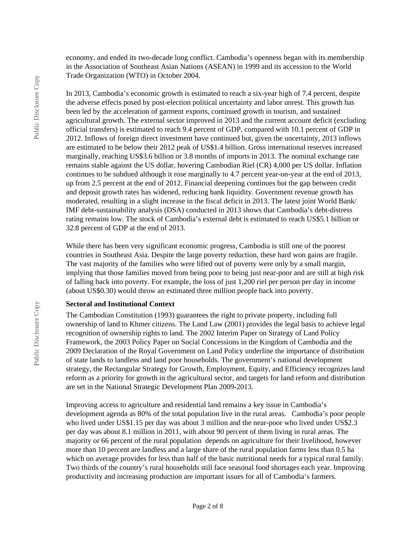economy, and ended its two-decade long conflict. Cambodia's openness began with its membership in the Association of Southeast Asian Nations (ASEAN) in 1999 and its accession to the World Trade Organization (WTO) in October 2004.

In 2013, Cambodia's economic growth is estimated to reach a six-year high of 7.4 percent, despite the adverse effects posed by post-election political uncertainty and labor unrest. This growth has been led by the acceleration of garment exports, continued growth in tourism, and sustained agricultural growth. The external sector improved in 2013 and the current account deficit (excluding official transfers) is estimated to reach 9.4 percent of GDP, compared with 10.1 percent of GDP in 2012. Inflows of foreign direct investment have continued but, given the uncertainty, 2013 inflows are estimated to be below their 2012 peak of US\$1.4 billion. Gross international reserves increased marginally, reaching US\$3.6 billion or 3.8 months of imports in 2013. The nominal exchange rate remains stable against the US dollar, hovering Cambodian Riel (CR) 4,000 per US dollar. Inflation continues to be subdued although it rose marginally to 4.7 percent year-on-year at the end of 2013, up from 2.5 percent at the end of 2012. Financial deepening continues but the gap between credit and deposit growth rates has widened, reducing bank liquidity. Government revenue growth has moderated, resulting in a slight increase in the fiscal deficit in 2013. The latest joint World Bank/ IMF debt-sustainability analysis (DSA) conducted in 2013 shows that Cambodia's debt-distress rating remains low. The stock of Cambodia's external debt is estimated to reach US\$5.1 billion or 32.8 percent of GDP at the end of 2013.

While there has been very significant economic progress, Cambodia is still one of the poorest countries in Southeast Asia. Despite the large poverty reduction, these hard won gains are fragile. The vast majority of the families who were lifted out of poverty were only by a small margin, implying that those families moved from being poor to being just near-poor and are still at high risk of falling back into poverty. For example, the loss of just 1,200 riel per person per day in income (about US\$0.30) would throw an estimated three million people back into poverty.

#### **Sectoral and Institutional Context**

The Cambodian Constitution (1993) guarantees the right to private property, including full ownership of land to Khmer citizens. The Land Law (2001) provides the legal basis to achieve legal recognition of ownership rights to land. The 2002 Interim Paper on Strategy of Land Policy Framework, the 2003 Policy Paper on Social Concessions in the Kingdom of Cambodia and the 2009 Declaration of the Royal Government on Land Policy underline the importance of distribution of state lands to landless and land poor households. The government's national development strategy, the Rectangular Strategy for Growth, Employment, Equity, and Efficiency recognizes land reform as a priority for growth in the agricultural sector, and targets for land reform and distribution are set in the National Strategic Development Plan 2009-2013.

Improving access to agriculture and residential land remains a key issue in Cambodia's development agenda as 80% of the total population live in the rural areas. Cambodia's poor people who lived under US\$1.15 per day was about 3 million and the near-poor who lived under US\$2.3 per day was about 8.1 million in 2011, with about 90 percent of them living in rural areas. The majority or 66 percent of the rural population depends on agriculture for their livelihood, however more than 10 percent are landless and a large share of the rural population farms less than 0.5 ha which on average provides for less than half of the basic nutritional needs for a typical rural family. Two thirds of the country's rural households still face seasonal food shortages each year. Improving productivity and increasing production are important issues for all of Cambodia's farmers.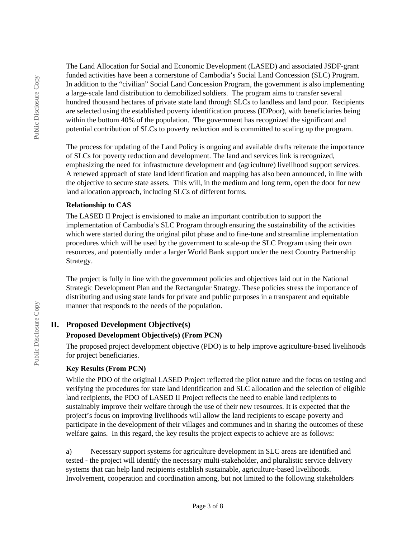The Land Allocation for Social and Economic Development (LASED) and associated JSDF-grant funded activities have been a cornerstone of Cambodia's Social Land Concession (SLC) Program. In addition to the "civilian" Social Land Concession Program, the government is also implementing a large-scale land distribution to demobilized soldiers. The program aims to transfer several hundred thousand hectares of private state land through SLCs to landless and land poor. Recipients are selected using the established poverty identification process (IDPoor), with beneficiaries being within the bottom 40% of the population. The government has recognized the significant and potential contribution of SLCs to poverty reduction and is committed to scaling up the program.

The process for updating of the Land Policy is ongoing and available drafts reiterate the importance of SLCs for poverty reduction and development. The land and services link is recognized, emphasizing the need for infrastructure development and (agriculture) livelihood support services. A renewed approach of state land identification and mapping has also been announced, in line with the objective to secure state assets. This will, in the medium and long term, open the door for new land allocation approach, including SLCs of different forms.

### **Relationship to CAS**

The LASED II Project is envisioned to make an important contribution to support the implementation of Cambodia's SLC Program through ensuring the sustainability of the activities which were started during the original pilot phase and to fine-tune and streamline implementation procedures which will be used by the government to scale-up the SLC Program using their own resources, and potentially under a larger World Bank support under the next Country Partnership Strategy.

The project is fully in line with the government policies and objectives laid out in the National Strategic Development Plan and the Rectangular Strategy. These policies stress the importance of distributing and using state lands for private and public purposes in a transparent and equitable manner that responds to the needs of the population.

# **II. Proposed Development Objective(s)**

### **Proposed Development Objective(s) (From PCN)**

The proposed project development objective (PDO) is to help improve agriculture-based livelihoods for project beneficiaries.

# **Key Results (From PCN)**

While the PDO of the original LASED Project reflected the pilot nature and the focus on testing and verifying the procedures for state land identification and SLC allocation and the selection of eligible land recipients, the PDO of LASED II Project reflects the need to enable land recipients to sustainably improve their welfare through the use of their new resources. It is expected that the project's focus on improving livelihoods will allow the land recipients to escape poverty and participate in the development of their villages and communes and in sharing the outcomes of these welfare gains. In this regard, the key results the project expects to achieve are as follows:

a) Necessary support systems for agriculture development in SLC areas are identified and tested - the project will identify the necessary multi-stakeholder, and pluralistic service delivery systems that can help land recipients establish sustainable, agriculture-based livelihoods. Involvement, cooperation and coordination among, but not limited to the following stakeholders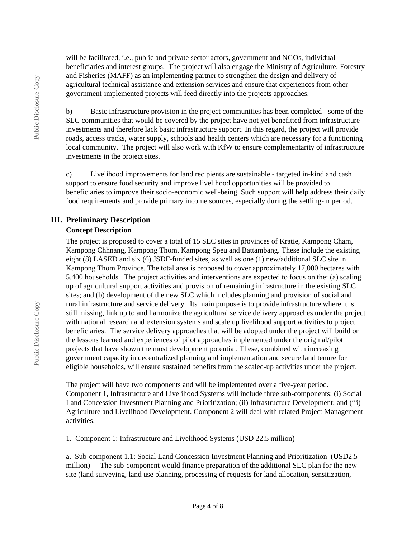will be facilitated, i.e., public and private sector actors, government and NGOs, individual beneficiaries and interest groups. The project will also engage the Ministry of Agriculture, Forestry and Fisheries (MAFF) as an implementing partner to strengthen the design and delivery of agricultural technical assistance and extension services and ensure that experiences from other government-implemented projects will feed directly into the projects approaches.

b) Basic infrastructure provision in the project communities has been completed - some of the SLC communities that would be covered by the project have not yet benefitted from infrastructure investments and therefore lack basic infrastructure support. In this regard, the project will provide roads, access tracks, water supply, schools and health centers which are necessary for a functioning local community. The project will also work with KfW to ensure complementarity of infrastructure investments in the project sites.

c) Livelihood improvements for land recipients are sustainable - targeted in-kind and cash support to ensure food security and improve livelihood opportunities will be provided to beneficiaries to improve their socio-economic well-being. Such support will help address their daily food requirements and provide primary income sources, especially during the settling-in period.

## **III. Preliminary Description**

#### **Concept Description**

The project is proposed to cover a total of 15 SLC sites in provinces of Kratie, Kampong Cham, Kampong Chhnang, Kampong Thom, Kampong Speu and Battambang. These include the existing eight (8) LASED and six (6) JSDF-funded sites, as well as one (1) new/additional SLC site in Kampong Thom Province. The total area is proposed to cover approximately 17,000 hectares with 5,400 households. The project activities and interventions are expected to focus on the: (a) scaling up of agricultural support activities and provision of remaining infrastructure in the existing SLC sites; and (b) development of the new SLC which includes planning and provision of social and rural infrastructure and service delivery. Its main purpose is to provide infrastructure where it is still missing, link up to and harmonize the agricultural service delivery approaches under the project with national research and extension systems and scale up livelihood support activities to project beneficiaries. The service delivery approaches that will be adopted under the project will build on the lessons learned and experiences of pilot approaches implemented under the original/pilot projects that have shown the most development potential. These, combined with increasing government capacity in decentralized planning and implementation and secure land tenure for eligible households, will ensure sustained benefits from the scaled-up activities under the project.

The project will have two components and will be implemented over a five-year period. Component 1, Infrastructure and Livelihood Systems will include three sub-components: (i) Social Land Concession Investment Planning and Prioritization; (ii) Infrastructure Development; and (iii) Agriculture and Livelihood Development. Component 2 will deal with related Project Management activities.

1. Component 1: Infrastructure and Livelihood Systems (USD 22.5 million)

a. Sub-component 1.1: Social Land Concession Investment Planning and Prioritization (USD2.5 million) - The sub-component would finance preparation of the additional SLC plan for the new site (land surveying, land use planning, processing of requests for land allocation, sensitization,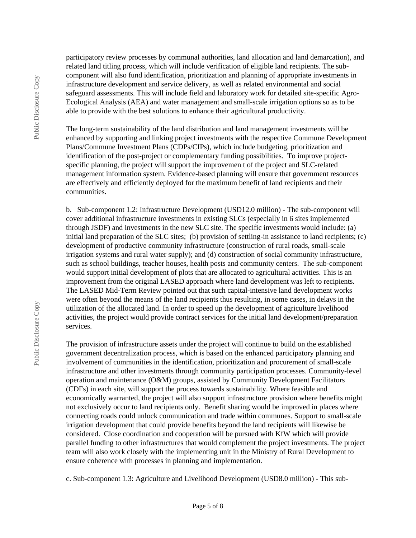Public Disclosure Copy Public Disclosure Copy participatory review processes by communal authorities, land allocation and land demarcation), and related land titling process, which will include verification of eligible land recipients. The subcomponent will also fund identification, prioritization and planning of appropriate investments in infrastructure development and service delivery, as well as related environmental and social safeguard assessments. This will include field and laboratory work for detailed site-specific Agro-Ecological Analysis (AEA) and water management and small-scale irrigation options so as to be able to provide with the best solutions to enhance their agricultural productivity.

The long-term sustainability of the land distribution and land management investments will be enhanced by supporting and linking project investments with the respective Commune Development Plans/Commune Investment Plans (CDPs/CIPs), which include budgeting, prioritization and identification of the post-project or complementary funding possibilities. To improve projectspecific planning, the project will support the improvemen t of the project and SLC-related management information system. Evidence-based planning will ensure that government resources are effectively and efficiently deployed for the maximum benefit of land recipients and their communities.

b. Sub-component 1.2: Infrastructure Development (USD12.0 million) - The sub-component will cover additional infrastructure investments in existing SLCs (especially in 6 sites implemented through JSDF) and investments in the new SLC site. The specific investments would include: (a) initial land preparation of the SLC sites; (b) provision of settling-in assistance to land recipients; (c) development of productive community infrastructure (construction of rural roads, small-scale irrigation systems and rural water supply); and (d) construction of social community infrastructure, such as school buildings, teacher houses, health posts and community centers. The sub-component would support initial development of plots that are allocated to agricultural activities. This is an improvement from the original LASED approach where land development was left to recipients. The LASED Mid-Term Review pointed out that such capital-intensive land development works were often beyond the means of the land recipients thus resulting, in some cases, in delays in the utilization of the allocated land. In order to speed up the development of agriculture livelihood activities, the project would provide contract services for the initial land development/preparation services.

The provision of infrastructure assets under the project will continue to build on the established government decentralization process, which is based on the enhanced participatory planning and involvement of communities in the identification, prioritization and procurement of small-scale infrastructure and other investments through community participation processes. Community-level operation and maintenance (O&M) groups, assisted by Community Development Facilitators (CDFs) in each site, will support the process towards sustainability. Where feasible and economically warranted, the project will also support infrastructure provision where benefits might not exclusively occur to land recipients only. Benefit sharing would be improved in places where connecting roads could unlock communication and trade within communes. Support to small-scale irrigation development that could provide benefits beyond the land recipients will likewise be considered. Close coordination and cooperation will be pursued with KfW which will provide parallel funding to other infrastructures that would complement the project investments. The project team will also work closely with the implementing unit in the Ministry of Rural Development to ensure coherence with processes in planning and implementation.

c. Sub-component 1.3: Agriculture and Livelihood Development (USD8.0 million) - This sub-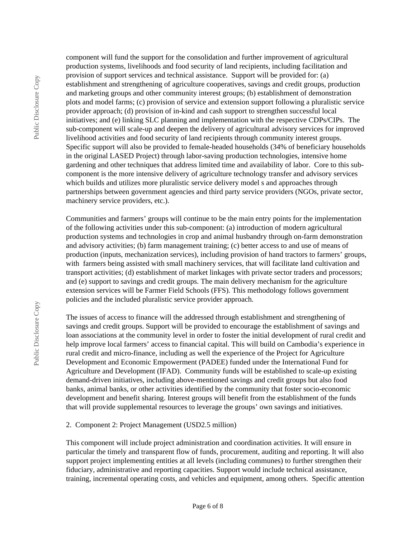component will fund the support for the consolidation and further improvement of agricultural production systems, livelihoods and food security of land recipients, including facilitation and provision of support services and technical assistance. Support will be provided for: (a) establishment and strengthening of agriculture cooperatives, savings and credit groups, production and marketing groups and other community interest groups; (b) establishment of demonstration plots and model farms; (c) provision of service and extension support following a pluralistic service provider approach; (d) provision of in-kind and cash support to strengthen successful local initiatives; and (e) linking SLC planning and implementation with the respective CDPs/CIPs. The sub-component will scale-up and deepen the delivery of agricultural advisory services for improved livelihood activities and food security of land recipients through community interest groups. Specific support will also be provided to female-headed households (34% of beneficiary households in the original LASED Project) through labor-saving production technologies, intensive home gardening and other techniques that address limited time and availability of labor. Core to this subcomponent is the more intensive delivery of agriculture technology transfer and advisory services which builds and utilizes more pluralistic service delivery model s and approaches through partnerships between government agencies and third party service providers (NGOs, private sector, machinery service providers, etc.).

Communities and farmers' groups will continue to be the main entry points for the implementation of the following activities under this sub-component: (a) introduction of modern agricultural production systems and technologies in crop and animal husbandry through on-farm demonstration and advisory activities; (b) farm management training; (c) better access to and use of means of production (inputs, mechanization services), including provision of hand tractors to farmers' groups, with farmers being assisted with small machinery services, that will facilitate land cultivation and transport activities; (d) establishment of market linkages with private sector traders and processors; and (e) support to savings and credit groups. The main delivery mechanism for the agriculture extension services will be Farmer Field Schools (FFS). This methodology follows government policies and the included pluralistic service provider approach.

The issues of access to finance will the addressed through establishment and strengthening of savings and credit groups. Support will be provided to encourage the establishment of savings and loan associations at the community level in order to foster the initial development of rural credit and help improve local farmers' access to financial capital. This will build on Cambodia's experience in rural credit and micro-finance, including as well the experience of the Project for Agriculture Development and Economic Empowerment (PADEE) funded under the International Fund for Agriculture and Development (IFAD). Community funds will be established to scale-up existing demand-driven initiatives, including above-mentioned savings and credit groups but also food banks, animal banks, or other activities identified by the community that foster socio-economic development and benefit sharing. Interest groups will benefit from the establishment of the funds that will provide supplemental resources to leverage the groups' own savings and initiatives.

#### 2. Component 2: Project Management (USD2.5 million)

This component will include project administration and coordination activities. It will ensure in particular the timely and transparent flow of funds, procurement, auditing and reporting. It will also support project implementing entities at all levels (including communes) to further strengthen their fiduciary, administrative and reporting capacities. Support would include technical assistance, training, incremental operating costs, and vehicles and equipment, among others. Specific attention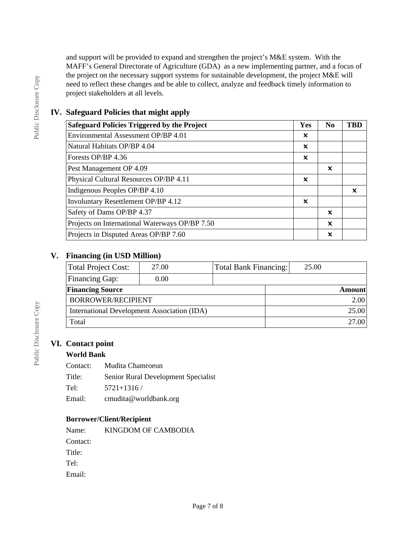and support will be provided to expand and strengthen the project's M&E system. With the MAFF's General Directorate of Agriculture (GDA) as a new implementing partner, and a focus of the project on the necessary support systems for sustainable development, the project M&E will need to reflect these changes and be able to collect, analyze and feedback timely information to project stakeholders at all levels.

# **IV. Safeguard Policies that might apply**

| <b>Safeguard Policies Triggered by the Project</b> | <b>Yes</b> | No.                       | TRD |
|----------------------------------------------------|------------|---------------------------|-----|
| Environmental Assessment OP/BP 4.01                | ×          |                           |     |
| Natural Habitats OP/BP 4.04                        | ×          |                           |     |
| Forests OP/BP 4.36                                 | ×          |                           |     |
| Pest Management OP 4.09                            |            | x                         |     |
| Physical Cultural Resources OP/BP 4.11             | ×          |                           |     |
| Indigenous Peoples OP/BP 4.10                      |            |                           | ×   |
| Involuntary Resettlement OP/BP 4.12                | ×          |                           |     |
| Safety of Dams OP/BP 4.37                          |            | $\boldsymbol{\mathsf{x}}$ |     |
| Projects on International Waterways OP/BP 7.50     |            | ×                         |     |
| Projects in Disputed Areas OP/BP 7.60              |            | x                         |     |

## **V. Financing (in USD Million)**

| Total Project Cost:                         | 27.00 |  | Total Bank Financing: | 25.00 |               |
|---------------------------------------------|-------|--|-----------------------|-------|---------------|
| Financing Gap:                              | 0.00  |  |                       |       |               |
| <b>Financing Source</b>                     |       |  |                       |       | <b>Amount</b> |
| BORROWER/RECIPIENT                          |       |  |                       |       | 2.00          |
| International Development Association (IDA) |       |  |                       |       | 25.00         |
| Total                                       |       |  |                       |       | 27.00         |

# **VI. Contact point**

### **World Bank**

Contact: Mudita Chamroeun

Title: Senior Rural Development Specialist

Tel: 5721+1316 /

Email: cmudita@worldbank.org

### **Borrower/Client/Recipient**

Name: KINGDOM OF CAMBODIA Contact: Title: Tel: Email: